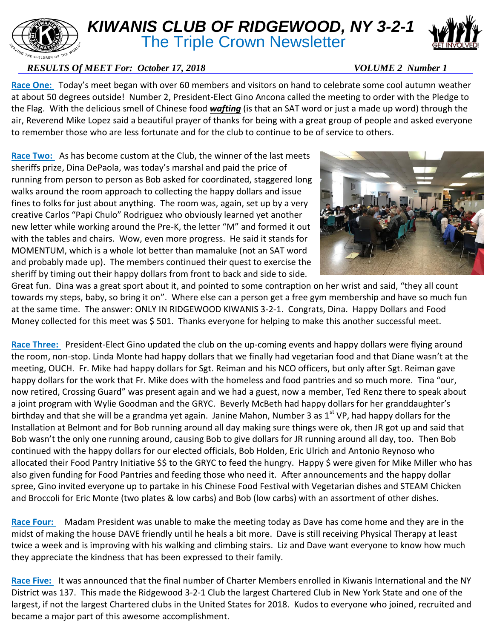## E CHILDREN OF THE

## *KIWANIS CLUB OF RIDGEWOOD, NY 3-2-1* **The Triple Crown Newsletter**



## *RESULTS Of MEET For: October 17, 2018* VOLUME 2 Number 1

**Race One:** Today's meet began with over 60 members and visitors on hand to celebrate some cool autumn weather at about 50 degrees outside! Number 2, President-Elect Gino Ancona called the meeting to order with the Pledge to the Flag. With the delicious smell of Chinese food *wafting* (is that an SAT word or just a made up word) through the air, Reverend Mike Lopez said a beautiful prayer of thanks for being with a great group of people and asked everyone to remember those who are less fortunate and for the club to continue to be of service to others.

**Race Two:** As has become custom at the Club, the winner of the last meets sheriffs prize, Dina DePaola, was today's marshal and paid the price of running from person to person as Bob asked for coordinated, staggered long walks around the room approach to collecting the happy dollars and issue fines to folks for just about anything. The room was, again, set up by a very creative Carlos "Papi Chulo" Rodriguez who obviously learned yet another new letter while working around the Pre-K, the letter "M" and formed it out with the tables and chairs. Wow, even more progress. He said it stands for MOMENTUM, which is a whole lot better than mamaluke (not an SAT word and probably made up). The members continued their quest to exercise the sheriff by timing out their happy dollars from front to back and side to side.



Great fun. Dina was a great sport about it, and pointed to some contraption on her wrist and said, "they all count towards my steps, baby, so bring it on". Where else can a person get a free gym membership and have so much fun at the same time. The answer: ONLY IN RIDGEWOOD KIWANIS 3-2-1. Congrats, Dina. Happy Dollars and Food Money collected for this meet was \$501. Thanks everyone for helping to make this another successful meet.

Race Three: President-Elect Gino updated the club on the up-coming events and happy dollars were flying around the room, non-stop. Linda Monte had happy dollars that we finally had vegetarian food and that Diane wasn't at the meeting, OUCH. Fr. Mike had happy dollars for Sgt. Reiman and his NCO officers, but only after Sgt. Reiman gave happy dollars for the work that Fr. Mike does with the homeless and food pantries and so much more. Tina "our, now retired, Crossing Guard" was present again and we had a guest, now a member, Ted Renz there to speak about a joint program with Wylie Goodman and the GRYC. Beverly McBeth had happy dollars for her granddaughter's birthday and that she will be a grandma yet again. Janine Mahon, Number 3 as 1<sup>st</sup> VP, had happy dollars for the Installation at Belmont and for Bob running around all day making sure things were ok, then JR got up and said that Bob wasn't the only one running around, causing Bob to give dollars for JR running around all day, too. Then Bob continued with the happy dollars for our elected officials, Bob Holden, Eric Ulrich and Antonio Reynoso who allocated their Food Pantry Initiative \$\$ to the GRYC to feed the hungry. Happy \$ were given for Mike Miller who has also given funding for Food Pantries and feeding those who need it. After announcements and the happy dollar spree, Gino invited everyone up to partake in his Chinese Food Festival with Vegetarian dishes and STEAM Chicken and Broccoli for Eric Monte (two plates & low carbs) and Bob (low carbs) with an assortment of other dishes.

**Race Four:** Madam President was unable to make the meeting today as Dave has come home and they are in the midst of making the house DAVE friendly until he heals a bit more. Dave is still receiving Physical Therapy at least twice a week and is improving with his walking and climbing stairs. Liz and Dave want everyone to know how much they appreciate the kindness that has been expressed to their family.

**Race Five:** It was announced that the final number of Charter Members enrolled in Kiwanis International and the NY District was 137. This made the Ridgewood 3-2-1 Club the largest Chartered Club in New York State and one of the largest, if not the largest Chartered clubs in the United States for 2018. Kudos to everyone who joined, recruited and became a major part of this awesome accomplishment.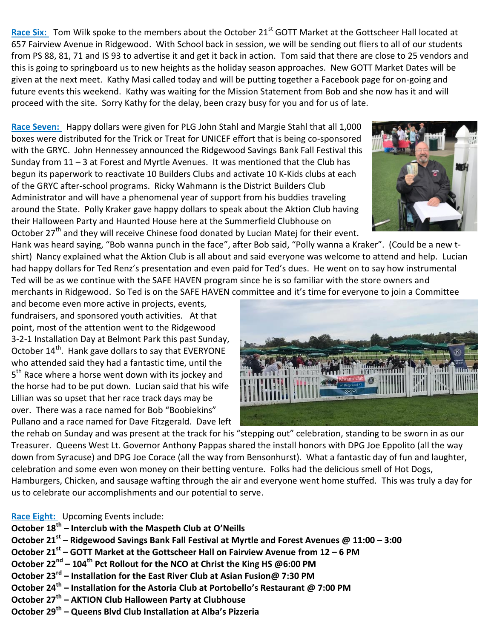Race Six: Tom Wilk spoke to the members about the October 21<sup>st</sup> GOTT Market at the Gottscheer Hall located at 657 Fairview Avenue in Ridgewood. With School back in session, we will be sending out fliers to all of our students from PS 88, 81, 71 and IS 93 to advertise it and get it back in action. Tom said that there are close to 25 vendors and this is going to springboard us to new heights as the holiday season approaches. New GOTT Market Dates will be given at the next meet. Kathy Masi called today and will be putting together a Facebook page for on-going and future events this weekend. Kathy was waiting for the Mission Statement from Bob and she now has it and will proceed with the site. Sorry Kathy for the delay, been crazy busy for you and for us of late.

**Race Seven:** Happy dollars were given for PLG John Stahl and Margie Stahl that all 1,000 boxes were distributed for the Trick or Treat for UNICEF effort that is being co-sponsored with the GRYC. John Hennessey announced the Ridgewood Savings Bank Fall Festival this Sunday from  $11 - 3$  at Forest and Myrtle Avenues. It was mentioned that the Club has begun its paperwork to reactivate 10 Builders Clubs and activate 10 K-Kids clubs at each of the GRYC after-school programs. Ricky Wahmann is the District Builders Club Administrator and will have a phenomenal year of support from his buddies traveling around the State. Polly Kraker gave happy dollars to speak about the Aktion Club having their Halloween Party and Haunted House here at the Summerfield Clubhouse on October  $27<sup>th</sup>$  and they will receive Chinese food donated by Lucian Matej for their event.



Hank was heard saying, "Bob wanna punch in the face", after Bob said, "Polly wanna a Kraker". (Could be a new tshirt) Nancy explained what the Aktion Club is all about and said everyone was welcome to attend and help. Lucian had happy dollars for Ted Renz's presentation and even paid for Ted's dues. He went on to say how instrumental Ted will be as we continue with the SAFE HAVEN program since he is so familiar with the store owners and merchants in Ridgewood. So Ted is on the SAFE HAVEN committee and it's time for everyone to join a Committee

and become even more active in projects, events, fundraisers, and sponsored youth activities. At that point, most of the attention went to the Ridgewood 3-2-1 Installation Day at Belmont Park this past Sunday, October 14<sup>th</sup>. Hank gave dollars to say that EVERYONE who attended said they had a fantastic time, until the 5<sup>th</sup> Race where a horse went down with its jockey and the horse had to be put down. Lucian said that his wife Lillian was so upset that her race track days may be over. There was a race named for Bob "Boobiekins" Pullano and a race named for Dave Fitzgerald. Dave left



the rehab on Sunday and was present at the track for his "stepping out" celebration, standing to be sworn in as our Treasurer. Queens West Lt. Governor Anthony Pappas shared the install honors with DPG Joe Eppolito (all the way down from Syracuse) and DPG Joe Corace (all the way from Bensonhurst). What a fantastic day of fun and laughter, celebration and some even won money on their betting venture. Folks had the delicious smell of Hot Dogs, Hamburgers, Chicken, and sausage wafting through the air and everyone went home stuffed. This was truly a day for us to celebrate our accomplishments and our potential to serve.

## **Race Eight:** Upcoming Events include:

**October 18th – Interclub with the Maspeth Club at O'Neills October 21st – Ridgewood Savings Bank Fall Festival at Myrtle and Forest Avenues @ 11:00 – 3:00 October 21 st – GOTT Market at the Gottscheer Hall on Fairview Avenue from 12 – 6 PM October 22nd – 104th Pct Rollout for the NCO at Christ the King HS @6:00 PM October 23rd – Installation for the East River Club at Asian Fusion@ 7:30 PM October 24th – Installation for the Astoria Club at Portobello's Restaurant @ 7:00 PM October 27th – AKTION Club Halloween Party at Clubhouse October 29th – Queens Blvd Club Installation at Alba's Pizzeria**